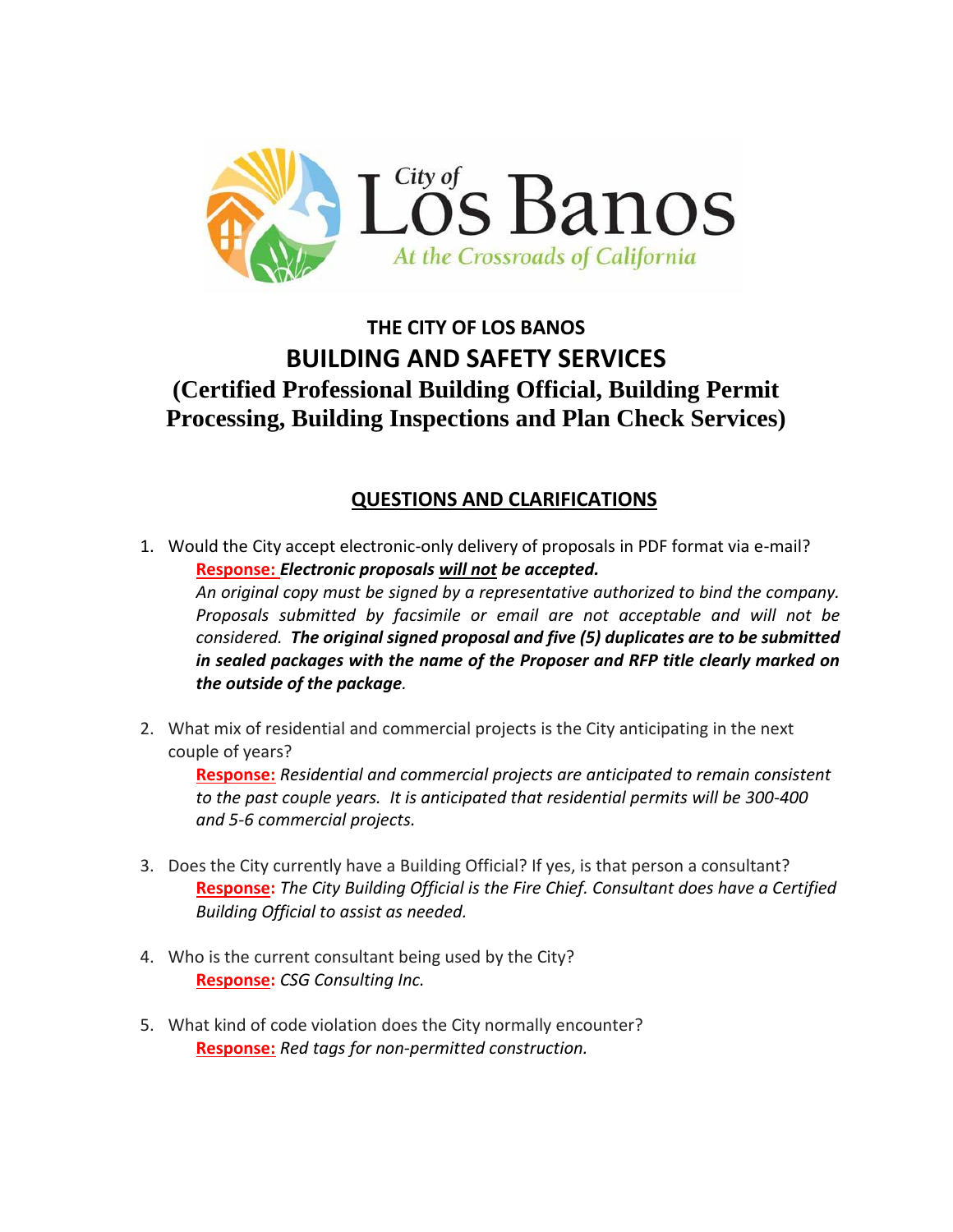

# **THE CITY OF LOS BANOS BUILDING AND SAFETY SERVICES (Certified Professional Building Official, Building Permit Processing, Building Inspections and Plan Check Services)**

## **QUESTIONS AND CLARIFICATIONS**

1. Would the City accept electronic-only delivery of proposals in PDF format via e-mail? **Response:** *Electronic proposals will not be accepted.*

*An original copy must be signed by a representative authorized to bind the company. Proposals submitted by facsimile or email are not acceptable and will not be considered. The original signed proposal and five (5) duplicates are to be submitted in sealed packages with the name of the Proposer and RFP title clearly marked on the outside of the package.* 

2. What mix of residential and commercial projects is the City anticipating in the next couple of years?

**Response:** *Residential and commercial projects are anticipated to remain consistent to the past couple years. It is anticipated that residential permits will be 300-400 and 5-6 commercial projects.*

- 3. Does the City currently have a Building Official? If yes, is that person a consultant? **Response:** *The City Building Official is the Fire Chief. Consultant does have a Certified Building Official to assist as needed.*
- 4. Who is the current consultant being used by the City? **Response:** *CSG Consulting Inc.*
- 5. What kind of code violation does the City normally encounter? **Response:** *Red tags for non-permitted construction.*